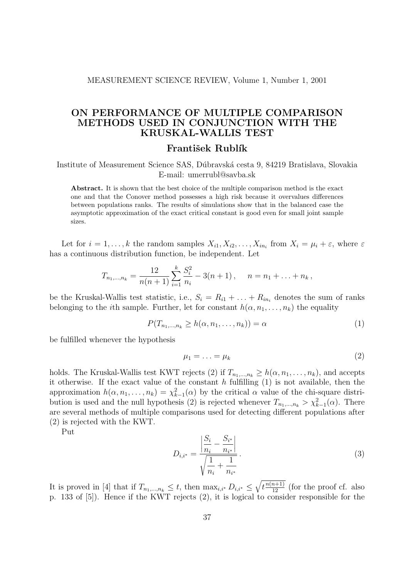#### MEASUREMENT SCIENCE REVIEW, Volume 1, Number 1, 2001

# ON PERFORMANCE OF MULTIPLE COMPARISON METHODS USED IN CONJUNCTION WITH THE KRUSKAL-WALLIS TEST

### František Rublík

Institute of Measurement Science SAS, Dúbravská cesta 9, 84219 Bratislava, Slovakia E-mail: umerrubl@savba.sk

Abstract. It is shown that the best choice of the multiple comparison method is the exact one and that the Conover method possesses a high risk because it overvalues differences between populations ranks. The results of simulations show that in the balanced case the asymptotic approximation of the exact critical constant is good even for small joint sample sizes.

Let for  $i = 1, ..., k$  the random samples  $X_{i1}, X_{i2}, ..., X_{in_i}$  from  $X_i = \mu_i + \varepsilon$ , where  $\varepsilon$ has a continuous distribution function, be independent. Let

$$
T_{n_1,\dots,n_k} = \frac{12}{n(n+1)} \sum_{i=1}^k \frac{S_i^2}{n_i} - 3(n+1), \quad n = n_1 + \dots + n_k,
$$

be the Kruskal-Wallis test statistic, i.e.,  $S_i = R_{i1} + \ldots + R_{in_i}$  denotes the sum of ranks belonging to the *i*th sample. Further, let for constant  $h(\alpha, n_1, \ldots, n_k)$  the equality

$$
P(T_{n_1,\ldots,n_k} \ge h(\alpha,n_1,\ldots,n_k)) = \alpha \tag{1}
$$

be fulfilled whenever the hypothesis

$$
\mu_1 = \ldots = \mu_k \tag{2}
$$

holds. The Kruskal-Wallis test KWT rejects (2) if  $T_{n_1,\dots,n_k} \geq h(\alpha, n_1, \dots, n_k)$ , and accepts it otherwise. If the exact value of the constant  $h$  fulfilling  $(1)$  is not available, then the approximation  $h(\alpha, n_1, \ldots, n_k) = \chi_{k-1}^2(\alpha)$  by the critical  $\alpha$  value of the chi-square distribution is used and the null hypothesis (2) is rejected whenever  $T_{n_1,\dots,n_k} > \chi^2_{k-1}(\alpha)$ . There are several methods of multiple comparisons used for detecting different populations after (2) is rejected with the KWT.

Put

$$
D_{i,i^*} = \frac{\left| \frac{S_i}{n_i} - \frac{S_{i^*}}{n_{i^*}} \right|}{\sqrt{\frac{1}{n_i} + \frac{1}{n_{i^*}}}}.
$$
\n(3)

It is proved in [4] that if  $T_{n_1,...,n_k} \leq t$ , then  $\max_{i,i^*} D_{i,i^*} \leq \sqrt{t \frac{n(n+1)}{12}}$  (for the proof cf. also p. 133 of [5]). Hence if the KWT rejects (2), it is logical to consider responsible for the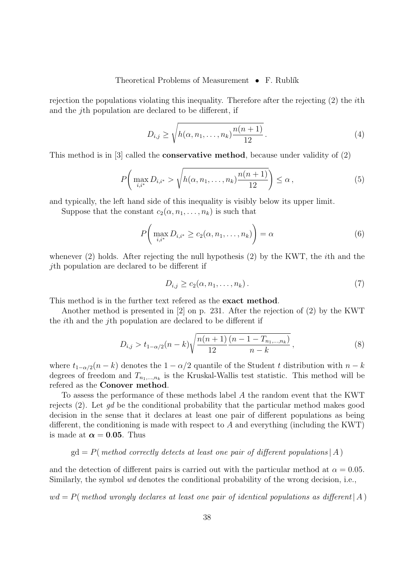#### Theoretical Problems of Measurement  $\bullet$  F. Rublík

rejection the populations violating this inequality. Therefore after the rejecting (2) the ith and the jth population are declared to be different, if

$$
D_{i,j} \ge \sqrt{h(\alpha, n_1, \dots, n_k) \frac{n(n+1)}{12}}.
$$
\n
$$
(4)
$$

This method is in [3] called the conservative method, because under validity of (2)

$$
P\left(\max_{i,i^*} D_{i,i^*} > \sqrt{h(\alpha, n_1,\dots, n_k)\frac{n(n+1)}{12}}\right) \leq \alpha\,,\tag{5}
$$

and typically, the left hand side of this inequality is visibly below its upper limit.

Suppose that the constant  $c_2(\alpha, n_1, \ldots, n_k)$  is such that

$$
P\left(\max_{i,i^*} D_{i,i^*} \ge c_2(\alpha, n_1, \dots, n_k)\right) = \alpha \tag{6}
$$

whenever (2) holds. After rejecting the null hypothesis (2) by the KWT, the *i*th and the jth population are declared to be different if

$$
D_{i,j} \ge c_2(\alpha, n_1, \dots, n_k). \tag{7}
$$

This method is in the further text refered as the exact method.

Another method is presented in [2] on p. 231. After the rejection of (2) by the KWT the ith and the jth population are declared to be different if

$$
D_{i,j} > t_{1-\alpha/2}(n-k)\sqrt{\frac{n(n+1)}{12}\frac{(n-1-T_{n_1,\dots,n_k})}{n-k}},
$$
\n(8)

where  $t_{1-\alpha/2}(n-k)$  denotes the  $1-\alpha/2$  quantile of the Student t distribution with  $n-k$ degrees of freedom and  $T_{n_1,\dots,n_k}$  is the Kruskal-Wallis test statistic. This method will be refered as the Conover method.

To assess the performance of these methods label A the random event that the KWT rejects  $(2)$ . Let qd be the conditional probability that the particular method makes good decision in the sense that it declares at least one pair of different populations as being different, the conditioning is made with respect to  $A$  and everything (including the KWT) is made at  $\alpha = 0.05$ . Thus

 $gd = P$ (*method correctly detects at least one pair of different populations* | A )

and the detection of different pairs is carried out with the particular method at  $\alpha = 0.05$ . Similarly, the symbol wd denotes the conditional probability of the wrong decision, i.e.,

 $wd = P$ (method wrongly declares at least one pair of identical populations as different A)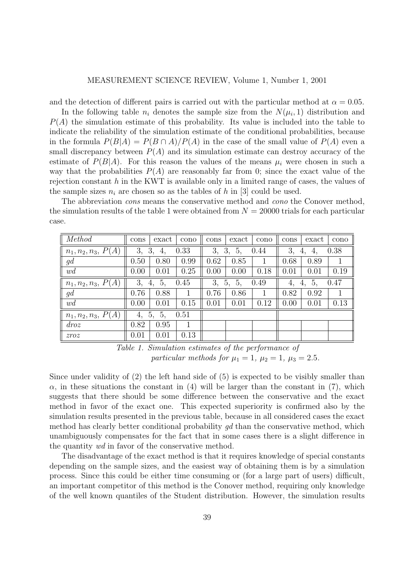and the detection of different pairs is carried out with the particular method at  $\alpha = 0.05$ .

In the following table  $n_i$  denotes the sample size from the  $N(\mu_i, 1)$  distribution and  $P(A)$  the simulation estimate of this probability. Its value is included into the table to indicate the reliability of the simulation estimate of the conditional probabilities, because in the formula  $P(B|A) = P(B \cap A)/P(A)$  in the case of the small value of  $P(A)$  even a small discrepancy between  $P(A)$  and its simulation estimate can destroy accuracy of the estimate of  $P(B|A)$ . For this reason the values of the means  $\mu_i$  were chosen in such a way that the probabilities  $P(A)$  are reasonably far from 0; since the exact value of the rejection constant  $h$  in the KWT is available only in a limited range of cases, the values of the sample sizes  $n_i$  are chosen so as the tables of h in [3] could be used.

The abbreviation *cons* means the conservative method and *cono* the Conover method, the simulation results of the table 1 were obtained from  $N = 20000$  trials for each particular case.

| Method                  | cons                   | exact | cono | cons                   | exact | cono         | cons                               | exact | cono |
|-------------------------|------------------------|-------|------|------------------------|-------|--------------|------------------------------------|-------|------|
| $n_1, n_2, n_3, P(A)$   | 0.33<br>3,<br>3,<br>4. |       |      | 3,<br>3,<br>5,<br>0.44 |       |              | 0.38<br>3,<br>4,<br>4,             |       |      |
| gd                      | 0.50                   | 0.80  | 0.99 | 0.62                   | 0.85  | $\mathbf{I}$ | 0.68                               | 0.89  |      |
| wd                      | 0.00                   | 0.01  | 0.25 | 0.00                   | 0.00  | 0.18         | 0.01                               | 0.01  | 0.19 |
| $n_1, n_2, n_3, P(A)$   | 3,<br>0.45<br>5,<br>4, |       |      | 3,<br>5,<br>0.49<br>5, |       |              | 0.47<br>5 <sub>1</sub><br>4,<br>4, |       |      |
| gd                      | 0.76                   | 0.88  |      | 0.76                   | 0.86  | 1            | 0.82                               | 0.92  |      |
| wd                      | 0.00                   | 0.01  | 0.15 | 0.01                   | 0.01  | 0.12         | 0.00                               | 0.01  | 0.13 |
| $n_1, n_2, n_3, P(A)$   | 0.51<br>5,<br>5,<br>4, |       |      |                        |       |              |                                    |       |      |
| $\frac{d}{\cos \theta}$ | 0.82                   | 0.95  | 1    |                        |       |              |                                    |       |      |
| zroz                    | 0.01                   | 0.01  | 0.13 |                        |       |              |                                    |       |      |

Table 1. Simulation estimates of the performance of particular methods for  $\mu_1 = 1$ ,  $\mu_2 = 1$ ,  $\mu_3 = 2.5$ .

Since under validity of (2) the left hand side of (5) is expected to be visibly smaller than  $\alpha$ , in these situations the constant in (4) will be larger than the constant in (7), which suggests that there should be some difference between the conservative and the exact method in favor of the exact one. This expected superiority is confirmed also by the simulation results presented in the previous table, because in all considered cases the exact method has clearly better conditional probability  $qd$  than the conservative method, which unambiguously compensates for the fact that in some cases there is a slight difference in the quantity wd in favor of the conservative method.

The disadvantage of the exact method is that it requires knowledge of special constants depending on the sample sizes, and the easiest way of obtaining them is by a simulation process. Since this could be either time consuming or (for a large part of users) difficult, an important competitor of this method is the Conover method, requiring only knowledge of the well known quantiles of the Student distribution. However, the simulation results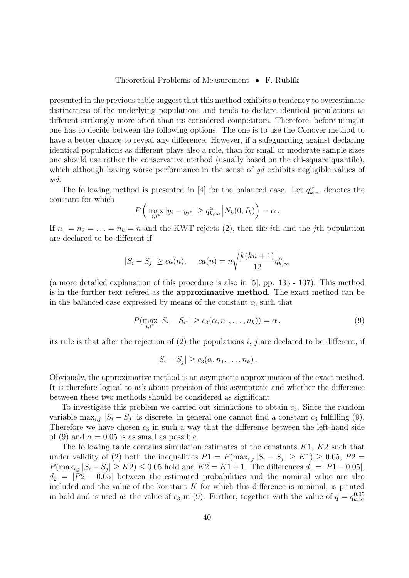#### Theoretical Problems of Measurement  $\bullet$  F. Rublík

presented in the previous table suggest that this method exhibits a tendency to overestimate distinctness of the underlying populations and tends to declare identical populations as different strikingly more often than its considered competitors. Therefore, before using it one has to decide between the following options. The one is to use the Conover method to have a better chance to reveal any difference. However, if a safeguarding against declaring identical populations as different plays also a role, than for small or moderate sample sizes one should use rather the conservative method (usually based on the chi-square quantile), which although having worse performance in the sense of gd exhibits negligible values of wd.

The following method is presented in [4] for the balanced case. Let  $q_{k,\infty}^{\alpha}$  denotes the constant for which

$$
P\left(\max_{i,i^*}|y_i - y_{i^*}| \geq q_{k,\infty}^{\alpha}|N_k(0, I_k)\right) = \alpha.
$$

If  $n_1 = n_2 = \ldots = n_k = n$  and the KWT rejects (2), then the *i*th and the *j*th population are declared to be different if

$$
|S_i - S_j| \ge ca(n), \quad ca(n) = n \sqrt{\frac{k(kn+1)}{12}} q_{k,\infty}^{\alpha}
$$

(a more detailed explanation of this procedure is also in [5], pp. 133 - 137). This method is in the further text refered as the approximative method. The exact method can be in the balanced case expressed by means of the constant  $c_3$  such that

$$
P(\max_{i,i^*} |S_i - S_{i^*}| \ge c_3(\alpha, n_1, ..., n_k)) = \alpha,
$$
\n(9)

its rule is that after the rejection of  $(2)$  the populations i, j are declared to be different, if

$$
|S_i - S_j| \ge c_3(\alpha, n_1, \dots, n_k).
$$

Obviously, the approximative method is an asymptotic approximation of the exact method. It is therefore logical to ask about precision of this asymptotic and whether the difference between these two methods should be considered as significant.

To investigate this problem we carried out simulations to obtain  $c_3$ . Since the random variable max<sub>i,j</sub>  $|S_i - S_j|$  is discrete, in general one cannot find a constant  $c_3$  fulfilling (9). Therefore we have chosen  $c_3$  in such a way that the difference between the left-hand side of (9) and  $\alpha = 0.05$  is as small as possible.

The following table contains simulation estimates of the constants  $K1$ ,  $K2$  such that under validity of (2) both the inequalities  $P1 = P(\max_{i,j} |S_i - S_j| \geq K1) \geq 0.05, P2 =$  $P(\max_{i,j} |S_i - S_j| \geq K2) \leq 0.05$  hold and  $K2 = K1 + 1$ . The differences  $d_1 = |P1 - 0.05|$ ,  $d_2 = |P2 - 0.05|$  between the estimated probabilities and the nominal value are also included and the value of the konstant  $K$  for which this difference is minimal, is printed in bold and is used as the value of  $c_3$  in (9). Further, together with the value of  $q = q_{k,\infty}^{0.05}$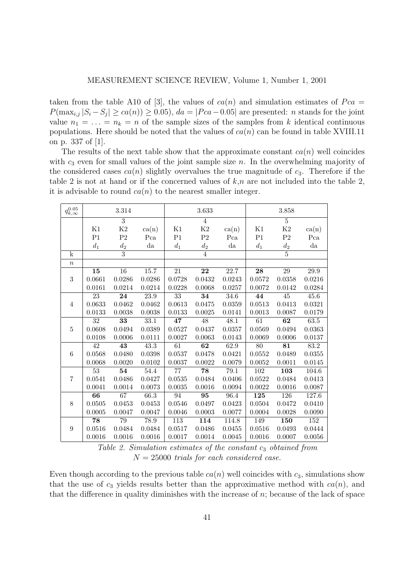taken from the table A10 of [3], the values of  $ca(n)$  and simulation estimates of  $Pca =$  $P(\max_{i,j}|S_i - S_j| \geq ca(n)) \geq 0.05$ ,  $da = |Pca - 0.05|$  are presented: *n* stands for the joint value  $n_1 = \ldots = n_k = n$  of the sample sizes of the samples from k identical continuous populations. Here should be noted that the values of  $ca(n)$  can be found in table XVIII.11 on p. 337 of [1].

The results of the next table show that the approximate constant  $ca(n)$  well coincides with  $c_3$  even for small values of the joint sample size n. In the overwhelming majority of the considered cases  $ca(n)$  slightly overvalues the true magnitude of  $c_3$ . Therefore if the table 2 is not at hand or if the concerned values of  $k,n$  are not included into the table 2, it is advisable to round  $ca(n)$  to the nearest smaller integer.

| $q_{k,\infty}^{0.05}$   |                    | 3.314           |             |                  | 3.633           |             |                  | 3.858            |                   |
|-------------------------|--------------------|-----------------|-------------|------------------|-----------------|-------------|------------------|------------------|-------------------|
|                         |                    | $\overline{3}$  |             |                  | $\overline{4}$  |             |                  | $\overline{5}$   |                   |
|                         | K1                 | $\rm K2$        | ca(n)       | K1               | $\rm K2$        | ca(n)       | Κ1               | K2               | ca(n)             |
|                         | P <sub>1</sub>     | P <sub>2</sub>  | Pca         | P <sub>1</sub>   | P <sub>2</sub>  | Pca         | P <sub>1</sub>   | P <sub>2</sub>   | Pca               |
|                         | $\boldsymbol{d}_1$ | $d_2$           | $_{\rm da}$ | $d_1$            | $d_2$           | $_{\rm da}$ | $\mathfrak{d}_1$ | $d_2$            | $d\mathbf{a}$     |
| $\overline{\mathbf{k}}$ |                    | $\overline{3}$  |             |                  | $\overline{4}$  |             |                  | $\overline{5}$   |                   |
| $\boldsymbol{n}$        |                    |                 |             |                  |                 |             |                  |                  |                   |
|                         | $\overline{15}$    | $\overline{16}$ | 15.7        | $\overline{21}$  | $\overline{22}$ | 22.7        | $\overline{28}$  | 29               | $\overline{29.9}$ |
| 3                       | 0.0661             | 0.0286          | 0.0286      | 0.0728           | 0.0432          | 0.0243      | 0.0572           | 0.0358           | 0.0216            |
|                         | 0.0161             | 0.0214          | 0.0214      | 0.0228           | 0.0068          | 0.0257      | 0.0072           | 0.0142           | 0.0284            |
|                         | 23                 | 24              | 23.9        | 33               | 34              | 34.6        | 44               | 45               | 45.6              |
| $\overline{4}$          | 0.0633             | 0.0462          | 0.0462      | 0.0613           | 0.0475          | 0.0359      | 0.0513           | 0.0413           | 0.0321            |
|                         | 0.0133             | 0.0038          | 0.0038      | 0.0133           | 0.0025          | 0.0141      | 0.0013           | 0.0087           | 0.0179            |
|                         | 32                 | 33              | 33.1        | 47               | 48              | 48.1        | $\overline{61}$  | 62               | 63.5              |
| $\bf 5$                 | 0.0608             | 0.0494          | 0.0389      | 0.0527           | 0.0437          | 0.0357      | 0.0569           | 0.0494           | 0.0363            |
|                         | 0.0108             | 0.0006          | 0.0111      | 0.0027           | 0.0063          | 0.0143      | 0.0069           | 0.0006           | 0.0137            |
|                         | $\overline{42}$    | $\overline{43}$ | 43.3        | 61               | $\overline{62}$ | 62.9        | 80               | $\overline{81}$  | 83.2              |
| 6                       | 0.0568             | 0.0480          | 0.0398      | 0.0537           | 0.0478          | 0.0421      | $0.0552\,$       | 0.0489           | 0.0355            |
|                         | 0.0068             | 0.0020          | 0.0102      | 0.0037           | 0.0022          | 0.0079      | 0.0052           | 0.0011           | 0.0145            |
|                         | 53                 | 54              | 54.4        | $\overline{77}$  | $\overline{78}$ | 79.1        | 102              | 103              | 104.6             |
| $\overline{7}$          | 0.0541             | 0.0486          | 0.0427      | 0.0535           | 0.0484          | 0.0406      | 0.0522           | 0.0484           | 0.0413            |
|                         | 0.0041             | 0.0014          | 0.0073      | 0.0035           | 0.0016          | 0.0094      | 0.0022           | 0.0016           | 0.0087            |
|                         | 66                 | 67              | 66.3        | 94               | 95              | 96.4        | 125              | $\overline{126}$ | 127.6             |
| 8                       | 0.0505             | 0.0453          | 0.0453      | 0.0546           | 0.0497          | 0.0423      | 0.0504           | 0.0472           | 0.0410            |
|                         | 0.0005             | 0.0047          | 0.0047      | 0.0046           | 0.0003          | 0.0077      | 0.0004           | 0.0028           | 0.0090            |
|                         | $\overline{78}$    | 79              | 78.9        | $\overline{113}$ | 114             | 114.8       | 149              | $\overline{150}$ | 152               |
| $\boldsymbol{9}$        | 0.0516             | 0.0484          | 0.0484      | 0.0517           | 0.0486          | 0.0455      | $0.0516\,$       | 0.0493           | 0.0444            |
|                         | 0.0016             | 0.0016          | 0.0016      | 0.0017           | 0.0014          | 0.0045      | 0.0016           | 0.0007           | 0.0056            |

Table 2. Simulation estimates of the constant  $c_3$  obtained from  $N = 25000$  trials for each considered case.

Even though according to the previous table  $ca(n)$  well coincides with  $c_3$ , simulations show that the use of  $c_3$  yields results better than the approximative method with  $ca(n)$ , and that the difference in quality diminishes with the increase of  $n$ ; because of the lack of space